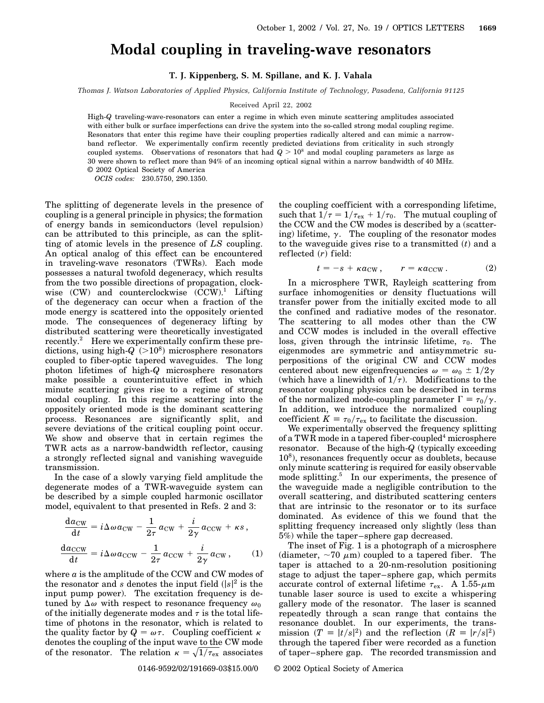## **Modal coupling in traveling-wave resonators**

**T. J. Kippenberg, S. M. Spillane, and K. J. Vahala**

*Thomas J. Watson Laboratories of Applied Physics, California Institute of Technology, Pasadena, California 91125*

## Received April 22, 2002

High-*Q* traveling-wave-resonators can enter a regime in which even minute scattering amplitudes associated with either bulk or surface imperfections can drive the system into the so-called strong modal coupling regime. Resonators that enter this regime have their coupling properties radically altered and can mimic a narrowband reflector. We experimentally confirm recently predicted deviations from criticality in such strongly coupled systems. Observations of resonators that had  $Q > 10^8$  and modal coupling parameters as large as 30 were shown to reflect more than 94% of an incoming optical signal within a narrow bandwidth of 40 MHz. © 2002 Optical Society of America

*OCIS codes:* 230.5750, 290.1350.

The splitting of degenerate levels in the presence of coupling is a general principle in physics; the formation of energy bands in semiconductors (level repulsion) can be attributed to this principle, as can the splitting of atomic levels in the presence of *LS* coupling. An optical analog of this effect can be encountered in traveling-wave resonators (TWRs). Each mode possesses a natural twofold degeneracy, which results from the two possible directions of propagation, clockwise  $(CW)$  and counterclockwise  $(CCW)^1$ . Lifting of the degeneracy can occur when a fraction of the mode energy is scattered into the oppositely oriented mode. The consequences of degeneracy lifting by distributed scattering were theoretically investigated recently.<sup>2</sup> Here we experimentally confirm these predictions, using high- $Q$ <sup> $(>10<sup>8</sup>)$ </sup> microsphere resonators coupled to fiber-optic tapered waveguides. The long photon lifetimes of high-*Q* microsphere resonators make possible a counterintuitive effect in which minute scattering gives rise to a regime of strong modal coupling. In this regime scattering into the oppositely oriented mode is the dominant scattering process. Resonances are significantly split, and severe deviations of the critical coupling point occur. We show and observe that in certain regimes the TWR acts as a narrow-bandwidth ref lector, causing a strongly ref lected signal and vanishing waveguide transmission.

In the case of a slowly varying field amplitude the degenerate modes of a TWR-waveguide system can be described by a simple coupled harmonic oscillator model, equivalent to that presented in Refs. 2 and 3:

$$
\frac{da_{\text{CW}}}{dt} = i\Delta\omega a_{\text{CW}} - \frac{1}{2\tau}a_{\text{CW}} + \frac{i}{2\gamma}a_{\text{CCW}} + \kappa s,
$$
  

$$
\frac{da_{\text{CCW}}}{dt} = i\Delta\omega a_{\text{CCW}} - \frac{1}{2\tau}a_{\text{CCW}} + \frac{i}{2\gamma}a_{\text{CW}},
$$
 (1)

where *a* is the amplitude of the CCW and CW modes of the resonator and *s* denotes the input field  $(|s|^2)$  is the input pump power). The excitation frequency is detuned by  $\Delta\omega$  with respect to resonance frequency  $\omega_0$ of the initially degenerate modes and  $\tau$  is the total lifetime of photons in the resonator, which is related to the quality factor by  $Q = \omega \tau$ . Coupling coefficient  $\kappa$ denotes the coupling of the input wave to the CW mode denotes the coupling of the input wave to the CW mode<br>of the resonator. The relation  $\kappa = \sqrt{1/\tau_{\rm ex}}$  associates

the coupling coefficient with a corresponding lifetime, such that  $1/\tau = 1/\tau_{ex} + 1/\tau_0$ . The mutual coupling of the CCW and the CW modes is described by a (scattering) lifetime,  $\gamma$ . The coupling of the resonator modes to the waveguide gives rise to a transmitted  $(t)$  and a reflected (r) field:

$$
t = -s + \kappa a_{\text{CW}}, \qquad r = \kappa a_{\text{CCW}}.
$$
 (2)

In a microsphere TWR, Rayleigh scattering from surface inhomogenities or density fluctuations will transfer power from the initially excited mode to all the confined and radiative modes of the resonator. The scattering to all modes other than the CW and CCW modes is included in the overall effective loss, given through the intrinsic lifetime,  $\tau_0$ . The eigenmodes are symmetric and antisymmetric superpositions of the original CW and CCW modes centered about new eigenfrequencies  $\omega = \omega_0 \pm 1/2\gamma$ (which have a linewidth of  $1/\tau$ ). Modifications to the resonator coupling physics can be described in terms of the normalized mode-coupling parameter  $\Gamma \equiv \tau_0/\gamma$ . In addition, we introduce the normalized coupling coefficient  $K = \tau_0/\tau_{\rm ex}$  to facilitate the discussion.

We experimentally observed the frequency splitting of a TWR mode in a tapered fiber-coupled<sup>4</sup> microsphere resonator. Because of the high-*Q* (typically exceeding  $10<sup>8</sup>$ ), resonances frequently occur as doublets, because only minute scattering is required for easily observable mode splitting.<sup>5</sup> In our experiments, the presence of the waveguide made a negligible contribution to the overall scattering, and distributed scattering centers that are intrinsic to the resonator or to its surface dominated. As evidence of this we found that the splitting frequency increased only slightly (less than 5%) while the taper–sphere gap decreased.

The inset of Fig. 1 is a photograph of a microsphere (diameter,  $\sim 70 \mu m$ ) coupled to a tapered fiber. The taper is attached to a 20-nm-resolution positioning stage to adjust the taper–sphere gap, which permits accurate control of external lifetime  $\tau_{ex}$ . A 1.55- $\mu$ m tunable laser source is used to excite a whispering gallery mode of the resonator. The laser is scanned repeatedly through a scan range that contains the resonance doublet. In our experiments, the transmission  $(T = |t/s|^2)$  and the reflection  $(R = |r/s|^2)$ through the tapered fiber were recorded as a function of taper–sphere gap. The recorded transmission and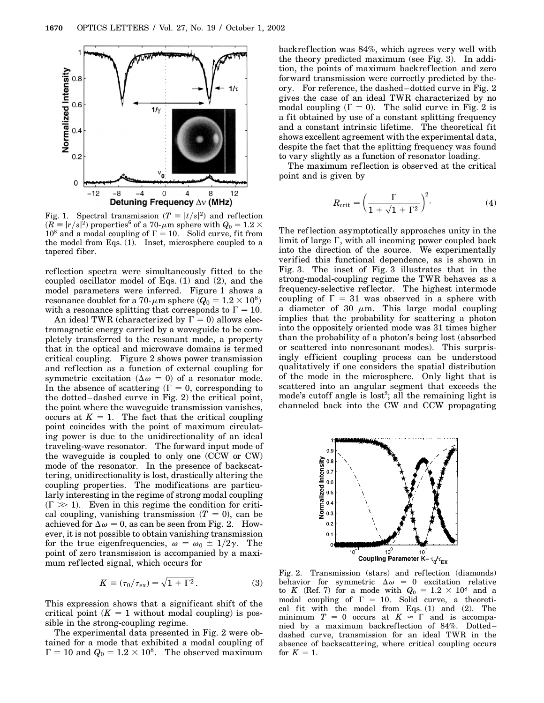

Fig. 1. Spectral transmission  $(T = |t/s|^2)$  and reflection  $R(\widetilde{R} \equiv |r/s|^2)$  properties $^6$  of a 70- $\mu$ m sphere with  $Q_0 = 1.2 \times 10^{-3}$  $10^8$  and a modal coupling of  $\Gamma = 10$ . Solid curve, fit from the model from Eqs. (1). Inset, microsphere coupled to a tapered fiber.

reflection spectra were simultaneously fitted to the coupled oscillator model of Eqs. (1) and (2), and the model parameters were inferred. Figure 1 shows a  $\epsilon$  resonance doublet for a 70- $\mu$ m sphere  $(Q_0=1.2\times 10^8)$ with a resonance splitting that corresponds to  $\Gamma = 10$ .

An ideal TWR (characterized by  $\Gamma = 0$ ) allows electromagnetic energy carried by a waveguide to be completely transferred to the resonant mode, a property that in the optical and microwave domains is termed critical coupling. Figure 2 shows power transmission and ref lection as a function of external coupling for symmetric excitation ( $\Delta \omega = 0$ ) of a resonator mode. In the absence of scattering  $(\Gamma = 0,$  corresponding to the dotted–dashed curve in Fig. 2) the critical point, the point where the waveguide transmission vanishes, occurs at  $K = 1$ . The fact that the critical coupling point coincides with the point of maximum circulating power is due to the unidirectionality of an ideal traveling-wave resonator. The forward input mode of the waveguide is coupled to only one (CCW or CW) mode of the resonator. In the presence of backscattering, unidirectionality is lost, drastically altering the coupling properties. The modifications are particularly interesting in the regime of strong modal coupling  $(\Gamma \gg 1)$ . Even in this regime the condition for critical coupling, vanishing transmission  $(T = 0)$ , can be achieved for  $\Delta \omega = 0$ , as can be seen from Fig. 2. However, it is not possible to obtain vanishing transmission for the true eigenfrequencies,  $\omega = \omega_0 \pm 1/2\gamma$ . The point of zero transmission is accompanied by a maximum ref lected signal, which occurs for

$$
K \equiv (\tau_0/\tau_{\rm ex}) = \sqrt{1 + \Gamma^2}.
$$
 (3)

This expression shows that a significant shift of the critical point  $(K = 1$  without modal coupling) is possible in the strong-coupling regime.

The experimental data presented in Fig. 2 were obtained for a mode that exhibited a modal coupling of  $\Gamma = 10$  and  $Q_0 = 1.2 \times 10^8$ . The observed maximum

backref lection was 84%, which agrees very well with the theory predicted maximum (see Fig. 3). In addition, the points of maximum backreflection and zero forward transmission were correctly predicted by theory. For reference, the dashed–dotted curve in Fig. 2 gives the case of an ideal TWR characterized by no modal coupling  $(\Gamma = 0)$ . The solid curve in Fig. 2 is a fit obtained by use of a constant splitting frequency and a constant intrinsic lifetime. The theoretical fit shows excellent agreement with the experimental data, despite the fact that the splitting frequency was found to vary slightly as a function of resonator loading.

The maximum ref lection is observed at the critical point and is given by

$$
R_{\rm crit} = \left(\frac{\Gamma}{1 + \sqrt{1 + \Gamma^2}}\right)^2.
$$
 (4)

The ref lection asymptotically approaches unity in the limit of large  $\Gamma$ , with all incoming power coupled back into the direction of the source. We experimentally verified this functional dependence, as is shown in Fig. 3. The inset of Fig. 3 illustrates that in the strong-modal-coupling regime the TWR behaves as a frequency-selective ref lector. The highest intermode coupling of  $\Gamma = 31$  was observed in a sphere with a diameter of 30  $\mu$ m. This large modal coupling implies that the probability for scattering a photon into the oppositely oriented mode was 31 times higher than the probability of a photon's being lost (absorbed or scattered into nonresonant modes). This surprisingly efficient coupling process can be understood qualitatively if one considers the spatial distribution of the mode in the microsphere. Only light that is scattered into an angular segment that exceeds the mode's cutoff angle is  $\text{lost}^2$ ; all the remaining light is channeled back into the CW and CCW propagating



Fig. 2. Transmission (stars) and ref lection (diamonds) behavior for symmetric  $\Delta \omega = 0$  excitation relative to *K* (Ref. 7) for a mode with  $Q_0 = 1.2 \times 10^8$  and a modal coupling of  $\Gamma = 10$ . Solid curve, a theoretical fit with the model from Eqs. (1) and (2). The minimum  $T = 0$  occurs at  $K \approx \Gamma$  and is accompanied by a maximum backreflection of 84%. Dotted– dashed curve, transmission for an ideal TWR in the absence of backscattering, where critical coupling occurs for  $K = 1$ .